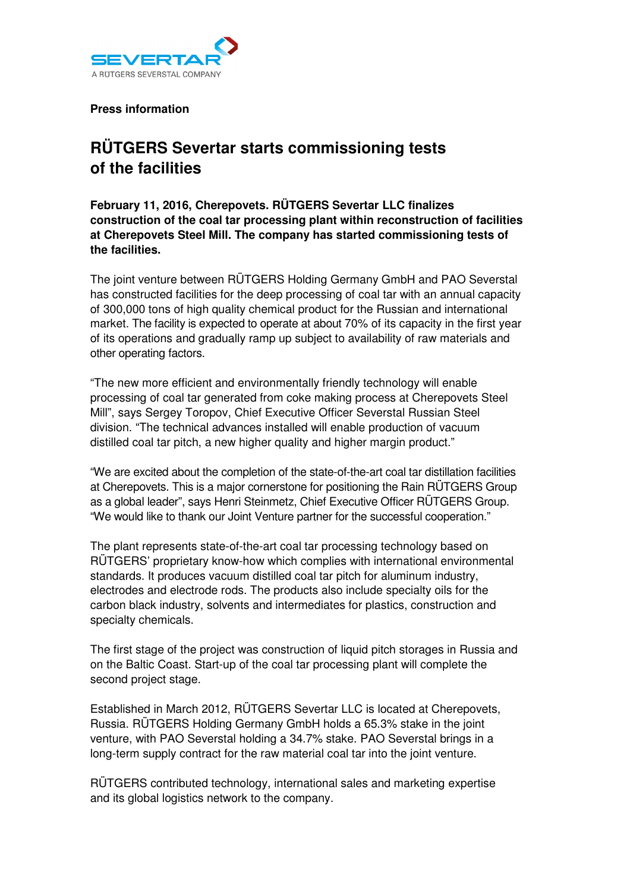

**Press information** 

## **RÜTGERS Severtar starts commissioning tests of the facilities**

**February 11, 2016, Cherepovets. RÜTGERS Severtar LLC finalizes construction of the coal tar processing plant within reconstruction of facilities at Cherepovets Steel Mill. The company has started commissioning tests of the facilities.** 

The joint venture between RÜTGERS Holding Germany GmbH and PAO Severstal has constructed facilities for the deep processing of coal tar with an annual capacity of 300,000 tons of high quality chemical product for the Russian and international market. The facility is expected to operate at about 70% of its capacity in the first year of its operations and gradually ramp up subject to availability of raw materials and other operating factors.

"The new more efficient and environmentally friendly technology will enable processing of coal tar generated from coke making process at Cherepovets Steel Mill", says Sergey Toropov, Chief Executive Officer Severstal Russian Steel division. "The technical advances installed will enable production of vacuum distilled coal tar pitch, a new higher quality and higher margin product."

"We are excited about the completion of the state-of-the-art coal tar distillation facilities at Cherepovets. This is a major cornerstone for positioning the Rain RÜTGERS Group as a global leader", says Henri Steinmetz, Chief Executive Officer RÜTGERS Group. "We would like to thank our Joint Venture partner for the successful cooperation."

The plant represents state-of-the-art coal tar processing technology based on RÜTGERS' proprietary know-how which complies with international environmental standards. It produces vacuum distilled coal tar pitch for aluminum industry, electrodes and electrode rods. The products also include specialty oils for the carbon black industry, solvents and intermediates for plastics, construction and specialty chemicals.

The first stage of the project was construction of liquid pitch storages in Russia and on the Baltic Coast. Start-up of the coal tar processing plant will complete the second project stage.

Established in March 2012, RÜTGERS Severtar LLC is located at Cherepovets, Russia. RÜTGERS Holding Germany GmbH holds a 65.3% stake in the joint venture, with PAO Severstal holding a 34.7% stake. PAO Severstal brings in a long-term supply contract for the raw material coal tar into the joint venture.

RÜTGERS contributed technology, international sales and marketing expertise and its global logistics network to the company.